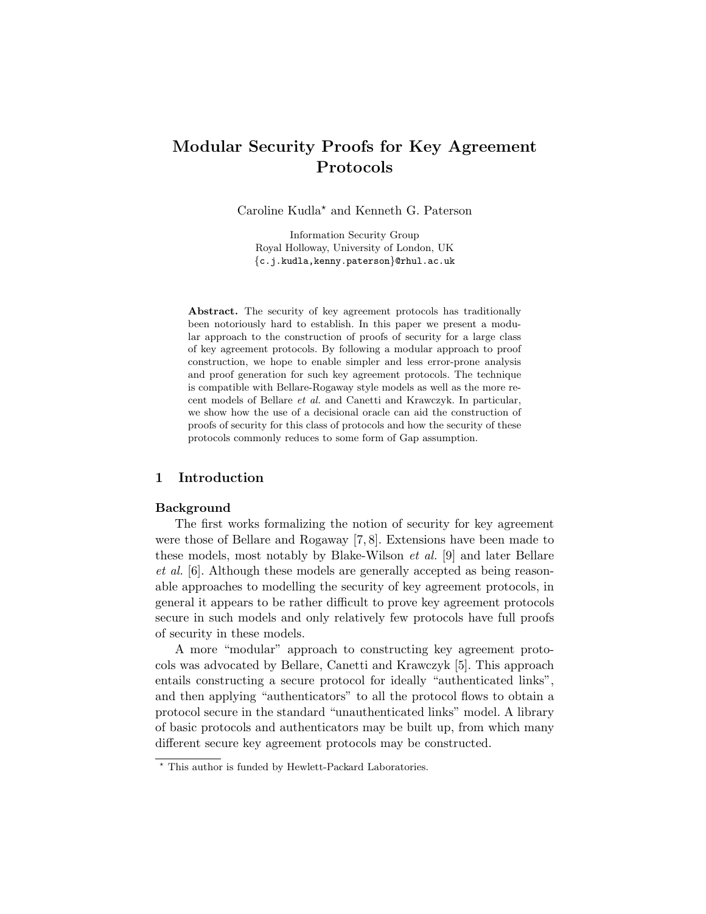# Modular Security Proofs for Key Agreement Protocols

Caroline Kudla? and Kenneth G. Paterson

Information Security Group Royal Holloway, University of London, UK {c.j.kudla,kenny.paterson}@rhul.ac.uk

Abstract. The security of key agreement protocols has traditionally been notoriously hard to establish. In this paper we present a modular approach to the construction of proofs of security for a large class of key agreement protocols. By following a modular approach to proof construction, we hope to enable simpler and less error-prone analysis and proof generation for such key agreement protocols. The technique is compatible with Bellare-Rogaway style models as well as the more recent models of Bellare et al. and Canetti and Krawczyk. In particular, we show how the use of a decisional oracle can aid the construction of proofs of security for this class of protocols and how the security of these protocols commonly reduces to some form of Gap assumption.

## 1 Introduction

## Background

The first works formalizing the notion of security for key agreement were those of Bellare and Rogaway [7, 8]. Extensions have been made to these models, most notably by Blake-Wilson et al. [9] and later Bellare et al. [6]. Although these models are generally accepted as being reasonable approaches to modelling the security of key agreement protocols, in general it appears to be rather difficult to prove key agreement protocols secure in such models and only relatively few protocols have full proofs of security in these models.

A more "modular" approach to constructing key agreement protocols was advocated by Bellare, Canetti and Krawczyk [5]. This approach entails constructing a secure protocol for ideally "authenticated links", and then applying "authenticators" to all the protocol flows to obtain a protocol secure in the standard "unauthenticated links" model. A library of basic protocols and authenticators may be built up, from which many different secure key agreement protocols may be constructed.

<sup>?</sup> This author is funded by Hewlett-Packard Laboratories.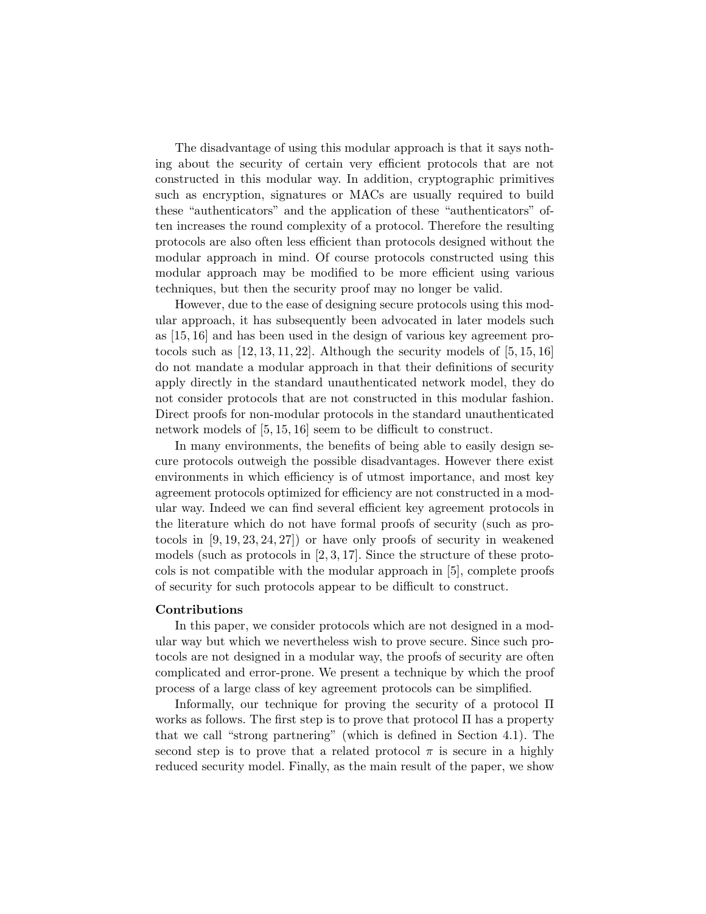The disadvantage of using this modular approach is that it says nothing about the security of certain very efficient protocols that are not constructed in this modular way. In addition, cryptographic primitives such as encryption, signatures or MACs are usually required to build these "authenticators" and the application of these "authenticators" often increases the round complexity of a protocol. Therefore the resulting protocols are also often less efficient than protocols designed without the modular approach in mind. Of course protocols constructed using this modular approach may be modified to be more efficient using various techniques, but then the security proof may no longer be valid.

However, due to the ease of designing secure protocols using this modular approach, it has subsequently been advocated in later models such as [15, 16] and has been used in the design of various key agreement protocols such as  $[12, 13, 11, 22]$ . Although the security models of  $[5, 15, 16]$ do not mandate a modular approach in that their definitions of security apply directly in the standard unauthenticated network model, they do not consider protocols that are not constructed in this modular fashion. Direct proofs for non-modular protocols in the standard unauthenticated network models of [5, 15, 16] seem to be difficult to construct.

In many environments, the benefits of being able to easily design secure protocols outweigh the possible disadvantages. However there exist environments in which efficiency is of utmost importance, and most key agreement protocols optimized for efficiency are not constructed in a modular way. Indeed we can find several efficient key agreement protocols in the literature which do not have formal proofs of security (such as protocols in [9, 19, 23, 24, 27]) or have only proofs of security in weakened models (such as protocols in [2, 3, 17]. Since the structure of these protocols is not compatible with the modular approach in [5], complete proofs of security for such protocols appear to be difficult to construct.

#### Contributions

In this paper, we consider protocols which are not designed in a modular way but which we nevertheless wish to prove secure. Since such protocols are not designed in a modular way, the proofs of security are often complicated and error-prone. We present a technique by which the proof process of a large class of key agreement protocols can be simplified.

Informally, our technique for proving the security of a protocol Π works as follows. The first step is to prove that protocol  $\Pi$  has a property that we call "strong partnering" (which is defined in Section 4.1). The second step is to prove that a related protocol  $\pi$  is secure in a highly reduced security model. Finally, as the main result of the paper, we show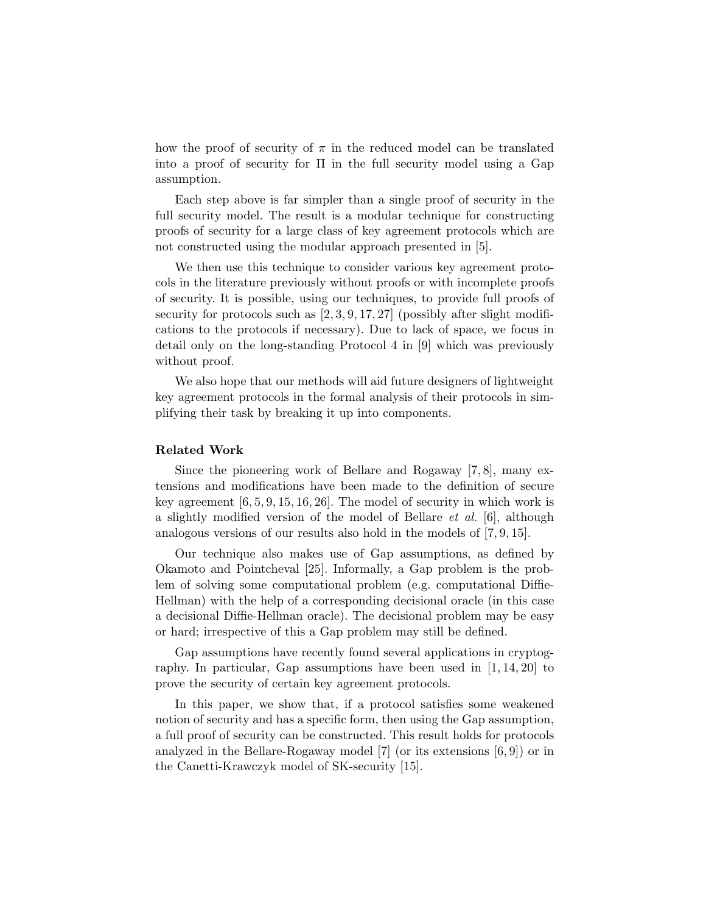how the proof of security of  $\pi$  in the reduced model can be translated into a proof of security for  $\Pi$  in the full security model using a Gap assumption.

Each step above is far simpler than a single proof of security in the full security model. The result is a modular technique for constructing proofs of security for a large class of key agreement protocols which are not constructed using the modular approach presented in [5].

We then use this technique to consider various key agreement protocols in the literature previously without proofs or with incomplete proofs of security. It is possible, using our techniques, to provide full proofs of security for protocols such as  $[2, 3, 9, 17, 27]$  (possibly after slight modifications to the protocols if necessary). Due to lack of space, we focus in detail only on the long-standing Protocol 4 in [9] which was previously without proof.

We also hope that our methods will aid future designers of lightweight key agreement protocols in the formal analysis of their protocols in simplifying their task by breaking it up into components.

#### Related Work

Since the pioneering work of Bellare and Rogaway [7, 8], many extensions and modifications have been made to the definition of secure key agreement  $[6, 5, 9, 15, 16, 26]$ . The model of security in which work is a slightly modified version of the model of Bellare *et al.* [6], although analogous versions of our results also hold in the models of [7, 9, 15].

Our technique also makes use of Gap assumptions, as defined by Okamoto and Pointcheval [25]. Informally, a Gap problem is the problem of solving some computational problem (e.g. computational Diffie-Hellman) with the help of a corresponding decisional oracle (in this case a decisional Diffie-Hellman oracle). The decisional problem may be easy or hard; irrespective of this a Gap problem may still be defined.

Gap assumptions have recently found several applications in cryptography. In particular, Gap assumptions have been used in [1, 14, 20] to prove the security of certain key agreement protocols.

In this paper, we show that, if a protocol satisfies some weakened notion of security and has a specific form, then using the Gap assumption, a full proof of security can be constructed. This result holds for protocols analyzed in the Bellare-Rogaway model [7] (or its extensions [6, 9]) or in the Canetti-Krawczyk model of SK-security [15].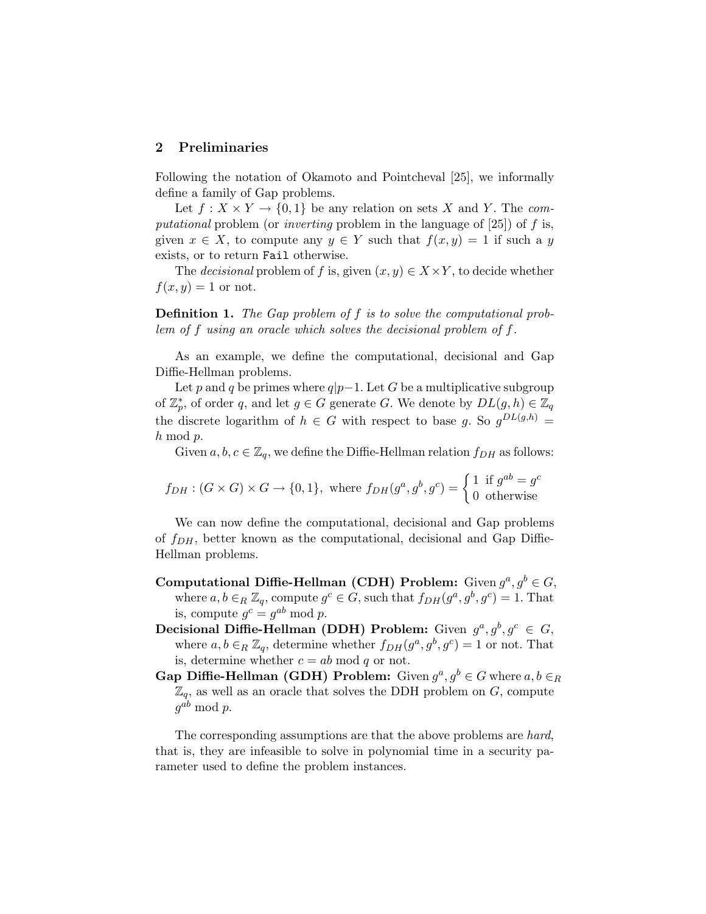# 2 Preliminaries

Following the notation of Okamoto and Pointcheval [25], we informally define a family of Gap problems.

Let  $f: X \times Y \to \{0,1\}$  be any relation on sets X and Y. The computational problem (or inverting problem in the language of [25]) of f is, given  $x \in X$ , to compute any  $y \in Y$  such that  $f(x, y) = 1$  if such a y exists, or to return Fail otherwise.

The *decisional* problem of f is, given  $(x, y) \in X \times Y$ , to decide whether  $f(x, y) = 1$  or not.

Definition 1. The Gap problem of f is to solve the computational problem of f using an oracle which solves the decisional problem of f.

As an example, we define the computational, decisional and Gap Diffie-Hellman problems.

Let p and q be primes where  $q|p-1$ . Let G be a multiplicative subgroup of  $\mathbb{Z}_p^*$ , of order q, and let  $g \in G$  generate G. We denote by  $DL(g, h) \in \mathbb{Z}_q$ the discrete logarithm of  $h \in G$  with respect to base g. So  $g^{DL(g,h)}$  = h mod p.

Given  $a, b, c \in \mathbb{Z}_q$ , we define the Diffie-Hellman relation  $f_{DH}$  as follows:

$$
f_{DH} : (G \times G) \times G \to \{0,1\}, \text{ where } f_{DH}(g^a, g^b, g^c) = \begin{cases} 1 & \text{if } g^{ab} = g^c \\ 0 & \text{otherwise} \end{cases}
$$

We can now define the computational, decisional and Gap problems of  $f_{DH}$ , better known as the computational, decisional and Gap Diffie-Hellman problems.

- Computational Diffie-Hellman (CDH) Problem: Given  $g^a, g^b \in G$ , where  $a, b \in_R \mathbb{Z}_q$ , compute  $g^c \in G$ , such that  $f_{DH}(g^a, g^b, g^c) = 1$ . That is, compute  $g^c = g^{ab} \bmod p$ .
- Decisional Diffie-Hellman (DDH) Problem: Given  $g^a, g^b, g^c \in G$ , where  $a, b \in_R \mathbb{Z}_q$ , determine whether  $f_{DH}(g^a, g^b, g^c) = 1$  or not. That is, determine whether  $c = ab \mod q$  or not.
- Gap Diffie-Hellman (GDH) Problem: Given  $g^a, g^b \in G$  where  $a, b \in R$  $\mathbb{Z}_q$ , as well as an oracle that solves the DDH problem on  $G$ , compute  $g^{ab} \bmod p$ .

The corresponding assumptions are that the above problems are hard, that is, they are infeasible to solve in polynomial time in a security parameter used to define the problem instances.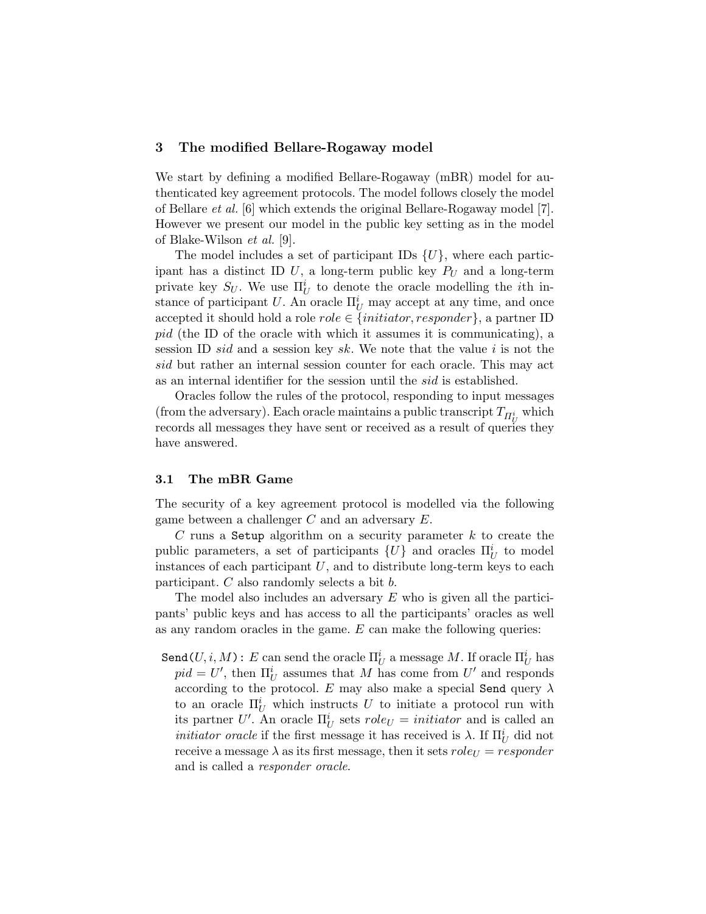#### 3 The modified Bellare-Rogaway model

We start by defining a modified Bellare-Rogaway (mBR) model for authenticated key agreement protocols. The model follows closely the model of Bellare et al. [6] which extends the original Bellare-Rogaway model [7]. However we present our model in the public key setting as in the model of Blake-Wilson et al. [9].

The model includes a set of participant IDs  $\{U\}$ , where each participant has a distinct ID U, a long-term public key  $P_U$  and a long-term private key  $S_U$ . We use  $\Pi_U^i$  to denote the oracle modelling the *i*th instance of participant U. An oracle  $\Pi_U^i$  may accept at any time, and once accepted it should hold a role  $role \in \{initiator, responder\}$ , a partner ID pid (the ID of the oracle with which it assumes it is communicating), a session ID *sid* and a session key sk. We note that the value i is not the sid but rather an internal session counter for each oracle. This may act as an internal identifier for the session until the sid is established.

Oracles follow the rules of the protocol, responding to input messages (from the adversary). Each oracle maintains a public transcript  $T_{\Pi_U^i}$  which records all messages they have sent or received as a result of queries they have answered.

## 3.1 The mBR Game

The security of a key agreement protocol is modelled via the following game between a challenger C and an adversary E.

C runs a Setup algorithm on a security parameter  $k$  to create the public parameters, a set of participants  $\{U\}$  and oracles  $\Pi_U^i$  to model instances of each participant  $U$ , and to distribute long-term keys to each participant. C also randomly selects a bit b.

The model also includes an adversary  $E$  who is given all the participants' public keys and has access to all the participants' oracles as well as any random oracles in the game. E can make the following queries:

 $\texttt{Send}(U, i, M) : E \text{ can send the oracle } \Pi_U^i \text{ a message } M. \text{ If oracle } \Pi_U^i \text{ has } \Pi_U^i \text{ to } \Pi_U^i.$  $pid = U'$ , then  $\Pi_U^i$  assumes that M has come from U' and responds according to the protocol. E may also make a special Send query  $\lambda$ to an oracle  $\Pi_U^i$  which instructs U to initiate a protocol run with its partner U'. An oracle  $\Pi_U^i$  sets  $role_U = initiator$  and is called an *initiator oracle* if the first message it has received is  $\lambda$ . If  $\Pi_U^i$  did not receive a message  $\lambda$  as its first message, then it sets  $roleU = responder$ and is called a responder oracle.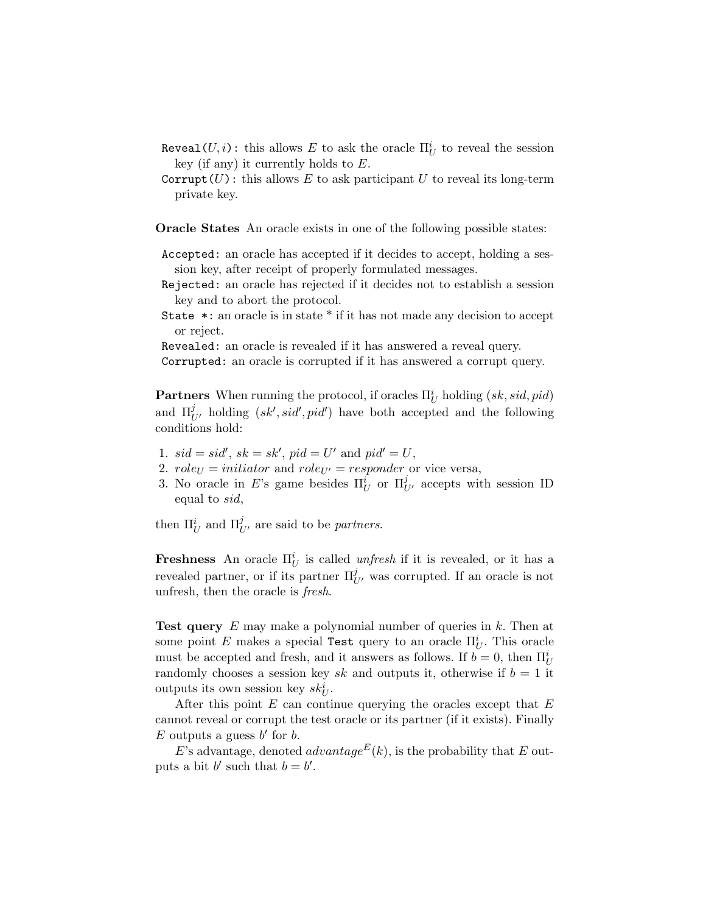- $\mathtt{Reveal}(U,i)$ : this allows  $E$  to ask the oracle  $\Pi^i_U$  to reveal the session key (if any) it currently holds to  $E$ .
- Corrupt(U): this allows E to ask participant U to reveal its long-term private key.

Oracle States An oracle exists in one of the following possible states:

- Accepted: an oracle has accepted if it decides to accept, holding a session key, after receipt of properly formulated messages.
- Rejected: an oracle has rejected if it decides not to establish a session key and to abort the protocol.
- State \*: an oracle is in state \* if it has not made any decision to accept or reject.

Revealed: an oracle is revealed if it has answered a reveal query.

Corrupted: an oracle is corrupted if it has answered a corrupt query.

**Partners** When running the protocol, if oracles  $\Pi_U^i$  holding  $(sk, sid, pid)$ and  $\Pi_{U'}^{j}$  holding  $(sk', sid', pid')$  have both accepted and the following conditions hold:

- 1.  $sid = sid', sk = sk', pid = U'$  and  $pid' = U$ ,
- 2.  $role_U = initiator$  and  $role_{U'} = responder$  or vice versa,
- 3. No oracle in E's game besides  $\Pi_U^i$  or  $\Pi_{U'}^j$  accepts with session ID equal to sid,

then  $\Pi_U^i$  and  $\Pi_{U'}^j$  are said to be *partners*.

**Freshness** An oracle  $\Pi_U^i$  is called *unfresh* if it is revealed, or it has a revealed partner, or if its partner  $\Pi_{U'}^{j}$  was corrupted. If an oracle is not unfresh, then the oracle is fresh.

Test query E may make a polynomial number of queries in k. Then at some point E makes a special Test query to an oracle  $\Pi_U^i$ . This oracle must be accepted and fresh, and it answers as follows. If  $b = 0$ , then  $\Pi_U^i$ randomly chooses a session key sk and outputs it, otherwise if  $b = 1$  it outputs its own session key  $sk_U^i$ .

After this point  $E$  can continue querying the oracles except that  $E$ cannot reveal or corrupt the test oracle or its partner (if it exists). Finally E outputs a guess  $b'$  for  $b$ .

E's advantage, denoted *advantage*<sup>E</sup>(k), is the probability that E outputs a bit b' such that  $b = b'$ .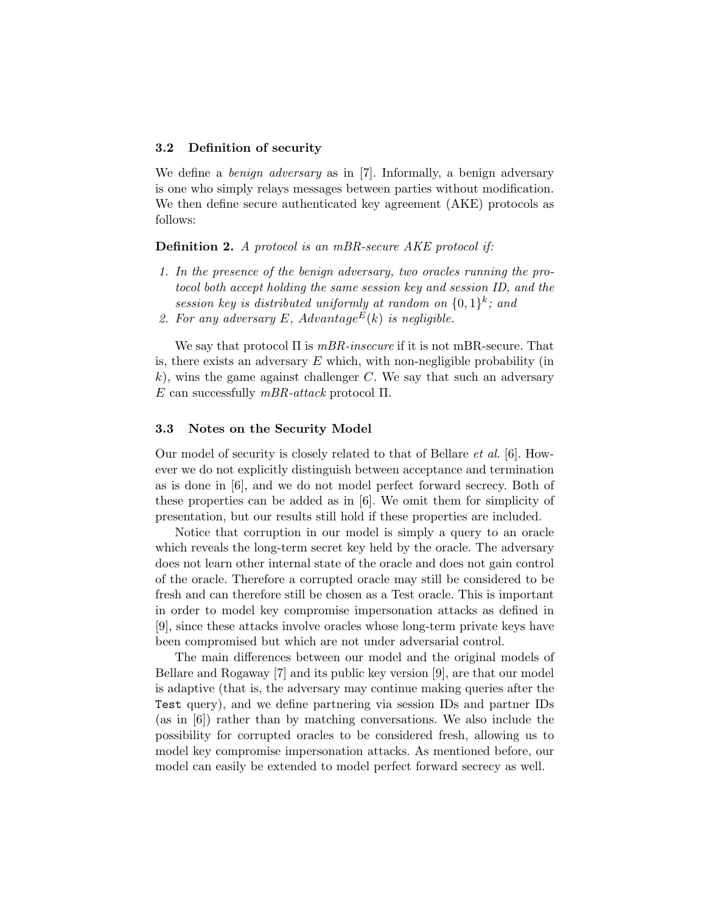#### 3.2 Definition of security

We define a *benign adversary* as in [7]. Informally, a benign adversary is one who simply relays messages between parties without modification. We then define secure authenticated key agreement (AKE) protocols as follows:

Definition 2. A protocol is an mBR-secure AKE protocol if:

- 1. In the presence of the benign adversary, two oracles running the protocol both accept holding the same session key and session ID, and the session key is distributed uniformly at random on  $\{0,1\}^k$ ; and
- 2. For any adversary E, Advantage<sup>E</sup>(k) is negligible.

We say that protocol  $\Pi$  is  $mBR$ -insecure if it is not mBR-secure. That is, there exists an adversary  $E$  which, with non-negligible probability (in k), wins the game against challenger  $C$ . We say that such an adversary E can successfully  $mBR-attack$  protocol  $\Pi$ .

#### 3.3 Notes on the Security Model

Our model of security is closely related to that of Bellare et al. [6]. However we do not explicitly distinguish between acceptance and termination as is done in [6], and we do not model perfect forward secrecy. Both of these properties can be added as in [6]. We omit them for simplicity of presentation, but our results still hold if these properties are included.

Notice that corruption in our model is simply a query to an oracle which reveals the long-term secret key held by the oracle. The adversary does not learn other internal state of the oracle and does not gain control of the oracle. Therefore a corrupted oracle may still be considered to be fresh and can therefore still be chosen as a Test oracle. This is important in order to model key compromise impersonation attacks as defined in [9], since these attacks involve oracles whose long-term private keys have been compromised but which are not under adversarial control.

The main differences between our model and the original models of Bellare and Rogaway [7] and its public key version [9], are that our model is adaptive (that is, the adversary may continue making queries after the Test query), and we define partnering via session IDs and partner IDs (as in [6]) rather than by matching conversations. We also include the possibility for corrupted oracles to be considered fresh, allowing us to model key compromise impersonation attacks. As mentioned before, our model can easily be extended to model perfect forward secrecy as well.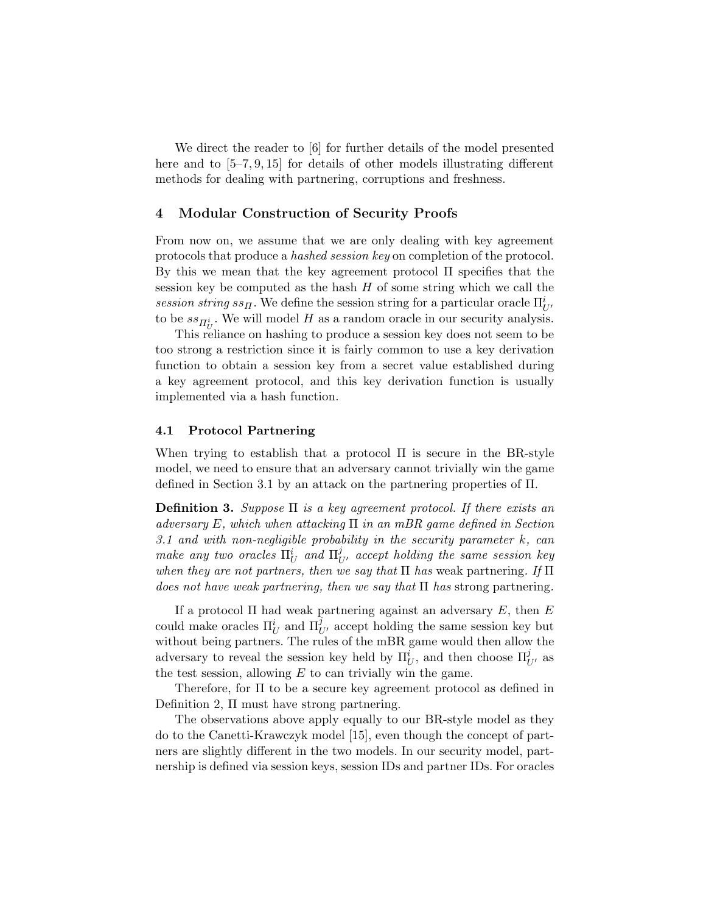We direct the reader to [6] for further details of the model presented here and to  $[5-7, 9, 15]$  for details of other models illustrating different methods for dealing with partnering, corruptions and freshness.

## 4 Modular Construction of Security Proofs

From now on, we assume that we are only dealing with key agreement protocols that produce a hashed session key on completion of the protocol. By this we mean that the key agreement protocol Π specifies that the session key be computed as the hash  $H$  of some string which we call the session string  $ss<sub>H</sub>$ . We define the session string for a particular oracle  $\Pi_{U'}^{i}$ to be  $ss_{\Pi_U^i}$ . We will model H as a random oracle in our security analysis.

This reliance on hashing to produce a session key does not seem to be too strong a restriction since it is fairly common to use a key derivation function to obtain a session key from a secret value established during a key agreement protocol, and this key derivation function is usually implemented via a hash function.

## 4.1 Protocol Partnering

When trying to establish that a protocol  $\Pi$  is secure in the BR-style model, we need to ensure that an adversary cannot trivially win the game defined in Section 3.1 by an attack on the partnering properties of Π.

**Definition 3.** Suppose  $\Pi$  is a key agreement protocol. If there exists an adversary E, which when attacking  $\Pi$  in an mBR game defined in Section 3.1 and with non-negligible probability in the security parameter  $k$ , can make any two oracles  $\Pi_U^i$  and  $\Pi_{U'}^j$  accept holding the same session key when they are not partners, then we say that  $\Pi$  has weak partnering. If  $\Pi$ does not have weak partnering, then we say that  $\Pi$  has strong partnering.

If a protocol  $\Pi$  had weak partnering against an adversary E, then E could make oracles  $\Pi_U^i$  and  $\Pi_{U'}^j$  accept holding the same session key but without being partners. The rules of the mBR game would then allow the adversary to reveal the session key held by  $\Pi_U^i$ , and then choose  $\Pi_{U'}^j$  as the test session, allowing  $E$  to can trivially win the game.

Therefore, for Π to be a secure key agreement protocol as defined in Definition 2, Π must have strong partnering.

The observations above apply equally to our BR-style model as they do to the Canetti-Krawczyk model [15], even though the concept of partners are slightly different in the two models. In our security model, partnership is defined via session keys, session IDs and partner IDs. For oracles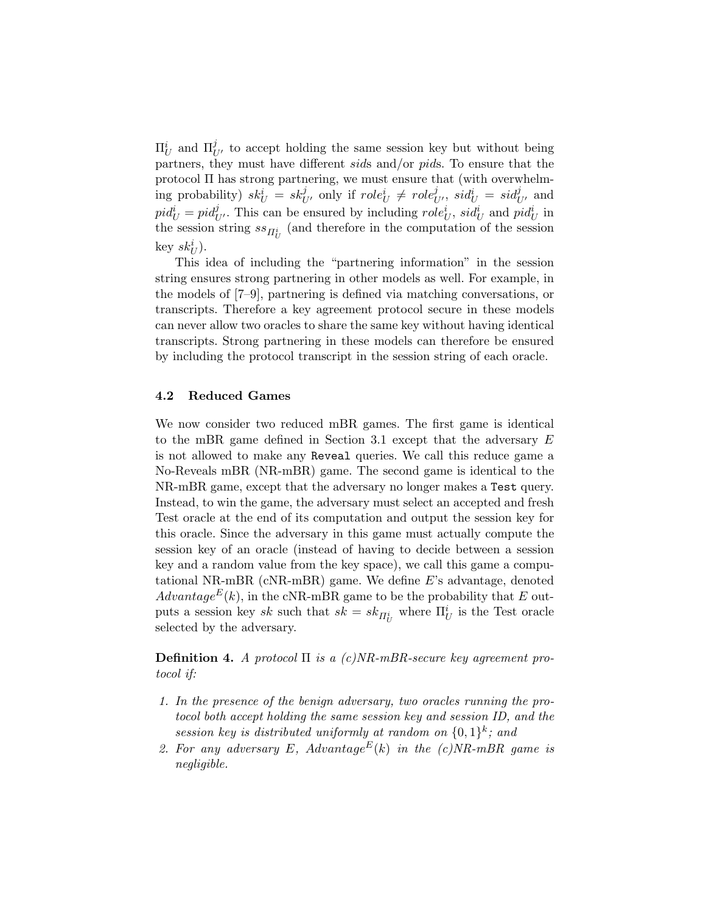$\Pi_U^i$  and  $\Pi_{U'}^j$  to accept holding the same session key but without being partners, they must have different sids and/or pids. To ensure that the protocol Π has strong partnering, we must ensure that (with overwhelming probability)  $sk_U^i = sk_{U'}^j$  only if  $role_U^i \neq role_{U'}^j$ ,  $sid_U^i = sid_{U'}^j$  and  $pid_U^i = pid_{U'}^j$ . This can be ensured by including  $role_U^i$ ,  $sid_U^i$  and  $pid_U^i$  in the session string  $ss_{\varPi_U^i}$  (and therefore in the computation of the session key  $sk_U^i$ ).

This idea of including the "partnering information" in the session string ensures strong partnering in other models as well. For example, in the models of [7–9], partnering is defined via matching conversations, or transcripts. Therefore a key agreement protocol secure in these models can never allow two oracles to share the same key without having identical transcripts. Strong partnering in these models can therefore be ensured by including the protocol transcript in the session string of each oracle.

## 4.2 Reduced Games

We now consider two reduced mBR games. The first game is identical to the mBR game defined in Section 3.1 except that the adversary E is not allowed to make any Reveal queries. We call this reduce game a No-Reveals mBR (NR-mBR) game. The second game is identical to the NR-mBR game, except that the adversary no longer makes a Test query. Instead, to win the game, the adversary must select an accepted and fresh Test oracle at the end of its computation and output the session key for this oracle. Since the adversary in this game must actually compute the session key of an oracle (instead of having to decide between a session key and a random value from the key space), we call this game a computational NR-mBR (cNR-mBR) game. We define E's advantage, denoted  $Advantage^{E}(k)$ , in the cNR-mBR game to be the probability that E outputs a session key sk such that  $sk = sk_{\Pi_U^i}$  where  $\Pi_U^i$  is the Test oracle selected by the adversary.

**Definition 4.** A protocol  $\Pi$  is a (c)NR-mBR-secure key agreement protocol if:

- 1. In the presence of the benign adversary, two oracles running the protocol both accept holding the same session key and session ID, and the session key is distributed uniformly at random on  $\{0,1\}^k$ ; and
- 2. For any adversary E, Advantage<sup>E</sup>(k) in the (c)NR-mBR game is negligible.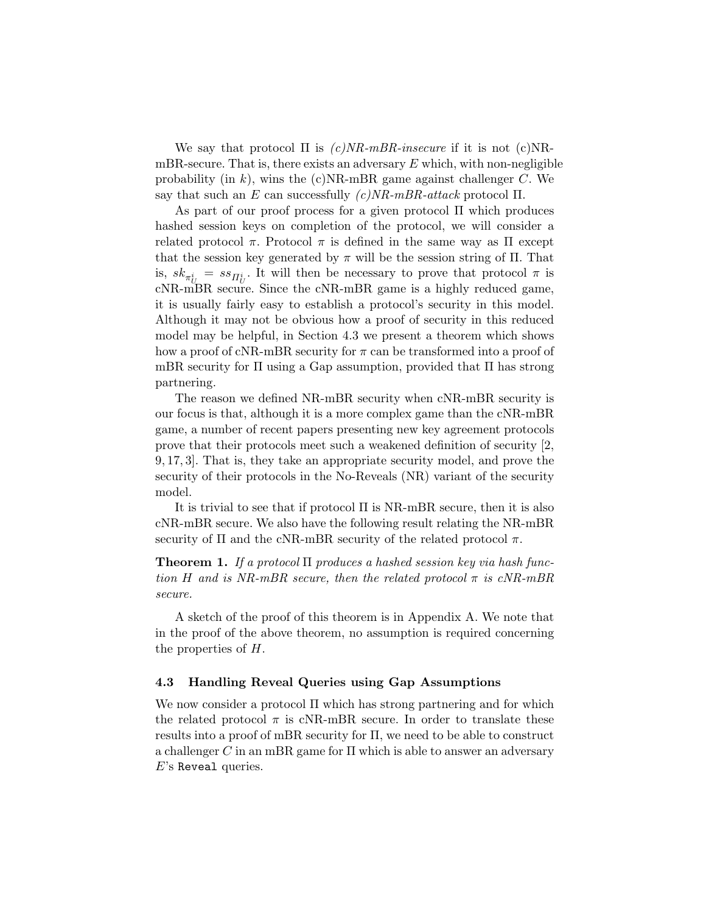We say that protocol  $\Pi$  is  $(c)NR\text{-}mBR\text{-}insecure$  if it is not  $(c)NR\text{-}l$ mBR-secure. That is, there exists an adversary  $E$  which, with non-negligible probability (in k), wins the (c)NR-mBR game against challenger  $C$ . We say that such an E can successfully  $(c)NR\text{-}mBR\text{-}attack$  protocol  $\Pi$ .

As part of our proof process for a given protocol  $\Pi$  which produces hashed session keys on completion of the protocol, we will consider a related protocol  $\pi$ . Protocol  $\pi$  is defined in the same way as  $\Pi$  except that the session key generated by  $\pi$  will be the session string of  $\Pi$ . That is,  $sk_{\pi^i_U} = ss_{\Pi^i_U}$ . It will then be necessary to prove that protocol  $\pi$  is cNR-mBR secure. Since the cNR-mBR game is a highly reduced game, it is usually fairly easy to establish a protocol's security in this model. Although it may not be obvious how a proof of security in this reduced model may be helpful, in Section 4.3 we present a theorem which shows how a proof of cNR-mBR security for  $\pi$  can be transformed into a proof of mBR security for Π using a Gap assumption, provided that Π has strong partnering.

The reason we defined NR-mBR security when cNR-mBR security is our focus is that, although it is a more complex game than the cNR-mBR game, a number of recent papers presenting new key agreement protocols prove that their protocols meet such a weakened definition of security [2, 9, 17, 3]. That is, they take an appropriate security model, and prove the security of their protocols in the No-Reveals (NR) variant of the security model.

It is trivial to see that if protocol Π is NR-mBR secure, then it is also cNR-mBR secure. We also have the following result relating the NR-mBR security of  $\Pi$  and the cNR-mBR security of the related protocol  $\pi$ .

**Theorem 1.** If a protocol  $\Pi$  produces a hashed session key via hash function H and is NR-mBR secure, then the related protocol  $\pi$  is cNR-mBR secure.

A sketch of the proof of this theorem is in Appendix A. We note that in the proof of the above theorem, no assumption is required concerning the properties of H.

## 4.3 Handling Reveal Queries using Gap Assumptions

We now consider a protocol Π which has strong partnering and for which the related protocol  $\pi$  is cNR-mBR secure. In order to translate these results into a proof of mBR security for Π, we need to be able to construct a challenger C in an mBR game for  $\Pi$  which is able to answer an adversary E's Reveal queries.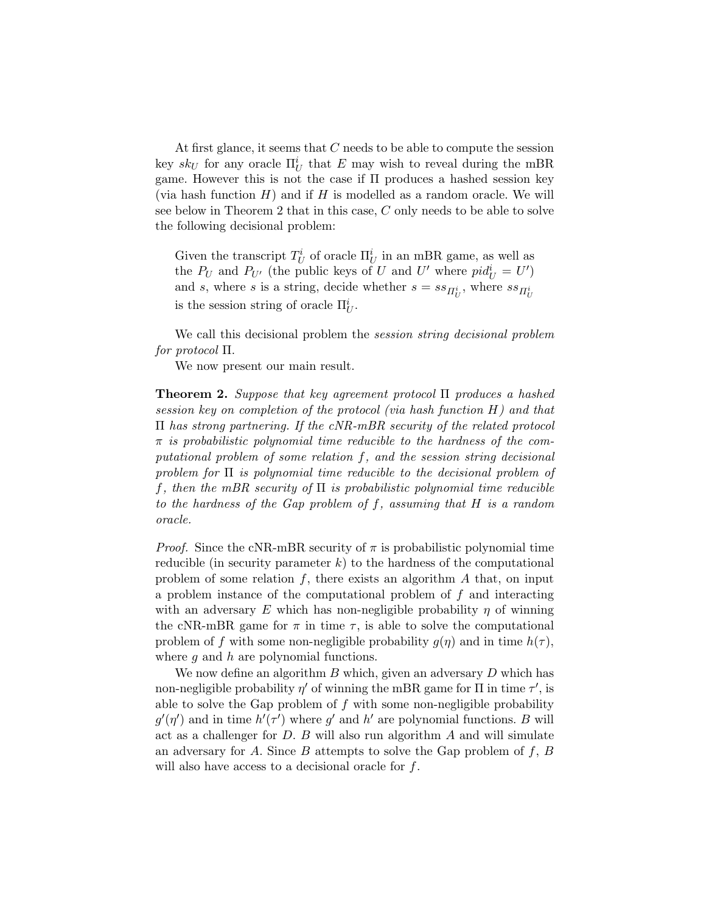At first glance, it seems that C needs to be able to compute the session key  $sk_U$  for any oracle  $\Pi_U^i$  that E may wish to reveal during the mBR game. However this is not the case if Π produces a hashed session key (via hash function  $H$ ) and if  $H$  is modelled as a random oracle. We will see below in Theorem 2 that in this case, C only needs to be able to solve the following decisional problem:

Given the transcript  $T_U^i$  of oracle  $\Pi_U^i$  in an mBR game, as well as the  $P_U$  and  $P_{U'}$  (the public keys of U and U' where  $pid_U^i = U'$ ) and s, where s is a string, decide whether  $s = ss_{\Pi_U^i}$ , where  $ss_{\Pi_U^i}$ is the session string of oracle  $\Pi_U^i$ .

We call this decisional problem the *session string decisional problem* for protocol Π.

We now present our main result.

**Theorem 2.** Suppose that key agreement protocol  $\Pi$  produces a hashed session key on completion of the protocol (via hash function H) and that Π has strong partnering. If the cNR-mBR security of the related protocol  $\pi$  is probabilistic polynomial time reducible to the hardness of the computational problem of some relation f, and the session string decisional problem for  $\Pi$  is polynomial time reducible to the decisional problem of f, then the mBR security of  $\Pi$  is probabilistic polynomial time reducible to the hardness of the Gap problem of f, assuming that H is a random oracle.

*Proof.* Since the cNR-mBR security of  $\pi$  is probabilistic polynomial time reducible (in security parameter  $k$ ) to the hardness of the computational problem of some relation  $f$ , there exists an algorithm  $A$  that, on input a problem instance of the computational problem of f and interacting with an adversary E which has non-negligible probability  $\eta$  of winning the cNR-mBR game for  $\pi$  in time  $\tau$ , is able to solve the computational problem of f with some non-negligible probability  $g(\eta)$  and in time  $h(\tau)$ , where  $q$  and  $h$  are polynomial functions.

We now define an algorithm  $B$  which, given an adversary  $D$  which has non-negligible probability  $\eta'$  of winning the mBR game for  $\Pi$  in time  $\tau'$ , is able to solve the Gap problem of  $f$  with some non-negligible probability  $g'(\eta')$  and in time  $h'(\tau')$  where g' and h' are polynomial functions. B will act as a challenger for  $D$ .  $B$  will also run algorithm  $A$  and will simulate an adversary for A. Since B attempts to solve the Gap problem of  $f, B$ will also have access to a decisional oracle for f.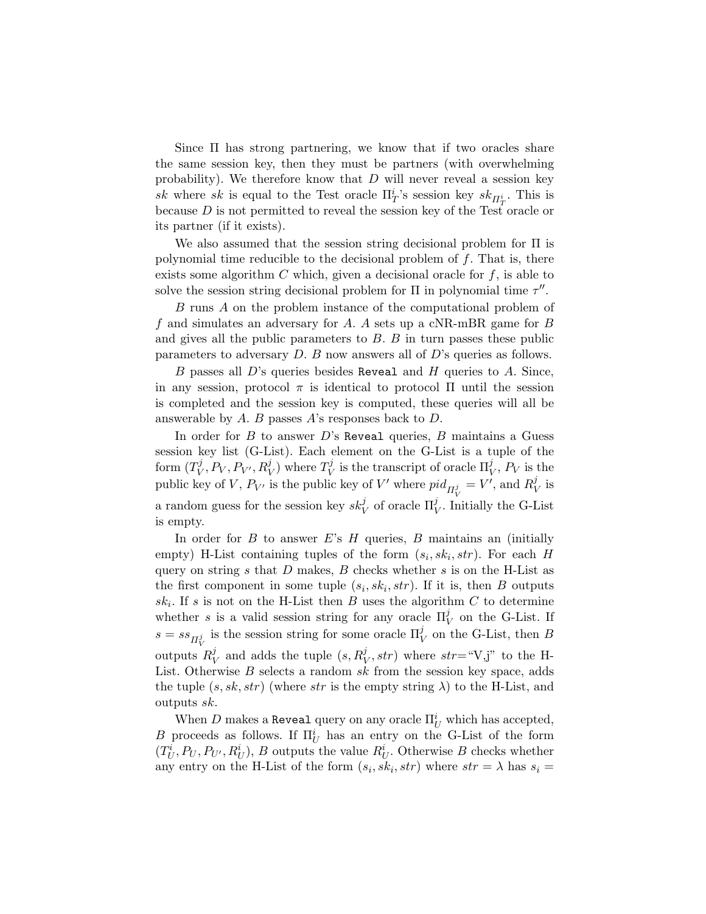Since Π has strong partnering, we know that if two oracles share the same session key, then they must be partners (with overwhelming probability). We therefore know that  $D$  will never reveal a session key sk where sk is equal to the Test oracle  $\Pi_T^i$ 's session key  $sk_{\Pi_T^i}$ . This is because D is not permitted to reveal the session key of the Test oracle or its partner (if it exists).

We also assumed that the session string decisional problem for  $\Pi$  is polynomial time reducible to the decisional problem of  $f$ . That is, there exists some algorithm  $C$  which, given a decisional oracle for  $f$ , is able to solve the session string decisional problem for  $\Pi$  in polynomial time  $\tau''$ .

B runs A on the problem instance of the computational problem of f and simulates an adversary for A. A sets up a cNR-mBR game for  $B$ and gives all the public parameters to  $B$ .  $B$  in turn passes these public parameters to adversary D. B now answers all of D's queries as follows.

B passes all  $D$ 's queries besides Reveal and H queries to A. Since, in any session, protocol  $\pi$  is identical to protocol  $\Pi$  until the session is completed and the session key is computed, these queries will all be answerable by  $A$ .  $B$  passes  $A$ 's responses back to  $D$ .

In order for  $B$  to answer  $D$ 's Reveal queries,  $B$  maintains a Guess session key list (G-List). Each element on the G-List is a tuple of the form  $(T_V^j)$  $\hat{V}_V, P_V, P_{V'}, R_V^j)$  where  $T_V^j$  $\mathcal{U}_V^j$  is the transcript of oracle  $\Pi_V^j$ ,  $P_V$  is the public key of V,  $P_{V'}$  is the public key of V' where  $pid_{\Pi_V^j} = V'$ , and  $R_V^j$  $_V^j$  is a random guess for the session key  $sk_V^j$  of oracle  $\Pi_V^j$ . Initially the G-List is empty.

In order for  $B$  to answer  $E$ 's  $H$  queries,  $B$  maintains an (initially empty) H-List containing tuples of the form  $(s_i, sk_i, str)$ . For each H query on string  $s$  that  $D$  makes,  $B$  checks whether  $s$  is on the H-List as the first component in some tuple  $(s_i, sk_i, str)$ . If it is, then B outputs  $sk_i$ . If s is not on the H-List then B uses the algorithm C to determine whether s is a valid session string for any oracle  $\Pi_V^j$  on the G-List. If  $s = ss_{\Pi_V^j}$  is the session string for some oracle  $\Pi_V^j$  on the G-List, then B outputs  $R_1^j$  $\frac{y}{V}$  and adds the tuple  $(s, R_V^j, str)$  where  $str = "V, j"$  to the H-List. Otherwise  $B$  selects a random  $sk$  from the session key space, adds the tuple  $(s, sk, str)$  (where str is the empty string  $\lambda$ ) to the H-List, and outputs sk.

When  $D$  makes a Reveal query on any oracle  $\Pi^i_U$  which has accepted, B proceeds as follows. If  $\Pi_U^i$  has an entry on the G-List of the form  $(T_U^i, P_U, P_{U'}, R_U^i)$ , B outputs the value  $R_U^i$ . Otherwise B checks whether any entry on the H-List of the form  $(s_i, sk_i, str)$  where  $str = \lambda$  has  $s_i =$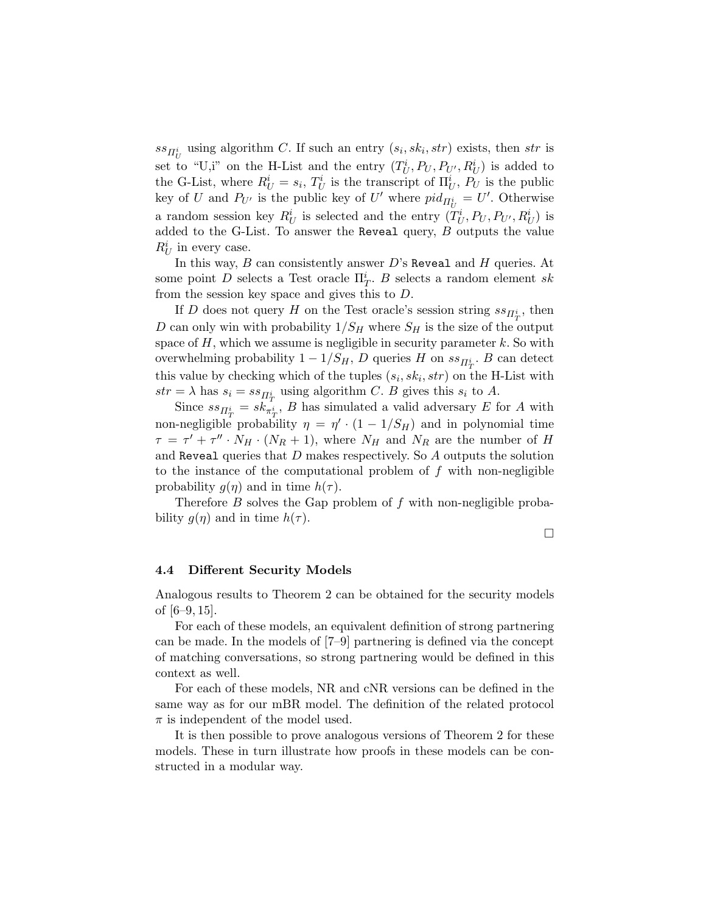$ss_{\overline{H}_{U}^{i}}$  using algorithm C. If such an entry  $(s_{i}, sk_{i}, str)$  exists, then str is set to "U,i" on the H-List and the entry  $(T_U^i, P_U, P_{U'}, R_U^i)$  is added to the G-List, where  $R_U^i = s_i$ ,  $T_U^i$  is the transcript of  $\Pi_U^i$ ,  $P_U$  is the public key of U and  $P_{U'}$  is the public key of U' where  $pid_{\Pi_U^i} = U'$ . Otherwise a random session key  $R_U^i$  is selected and the entry  $(T_U^i, P_U, P_{U'}, R_U^i)$  is added to the G-List. To answer the Reveal query,  $B$  outputs the value  $R_U^i$  in every case.

In this way,  $B$  can consistently answer  $D$ 's Reveal and  $H$  queries. At some point D selects a Test oracle  $\Pi_T^i$ . B selects a random element sk from the session key space and gives this to D.

If D does not query H on the Test oracle's session string  $ss_{\Pi_T^i}$ , then D can only win with probability  $1/S_H$  where  $S_H$  is the size of the output space of  $H$ , which we assume is negligible in security parameter  $k$ . So with overwhelming probability  $1 - 1/S_H$ , D queries H on  $ss_{\Pi_T^{i}}$ . B can detect this value by checking which of the tuples  $(s_i, sk_i, str)$  on the H-List with  $str = \lambda$  has  $s_i = ss_{\Pi^i_T}$  using algorithm C. B gives this  $s_i$  to A.

Since  $ss_{\Pi_T^i} = sk_{\pi_T^i}^{\dagger}$ , B has simulated a valid adversary E for A with non-negligible probability  $\eta = \eta' \cdot (1 - 1/S_H)$  and in polynomial time  $\tau = \tau' + \tau'' \cdot N_H \cdot (N_R + 1)$ , where  $N_H$  and  $N_R$  are the number of H and Reveal queries that  $D$  makes respectively. So  $A$  outputs the solution to the instance of the computational problem of  $f$  with non-negligible probability  $g(\eta)$  and in time  $h(\tau)$ .

Therefore  $B$  solves the Gap problem of  $f$  with non-negligible probability  $q(\eta)$  and in time  $h(\tau)$ .

 $\Box$ 

## 4.4 Different Security Models

Analogous results to Theorem 2 can be obtained for the security models of [6–9, 15].

For each of these models, an equivalent definition of strong partnering can be made. In the models of [7–9] partnering is defined via the concept of matching conversations, so strong partnering would be defined in this context as well.

For each of these models, NR and cNR versions can be defined in the same way as for our mBR model. The definition of the related protocol  $\pi$  is independent of the model used.

It is then possible to prove analogous versions of Theorem 2 for these models. These in turn illustrate how proofs in these models can be constructed in a modular way.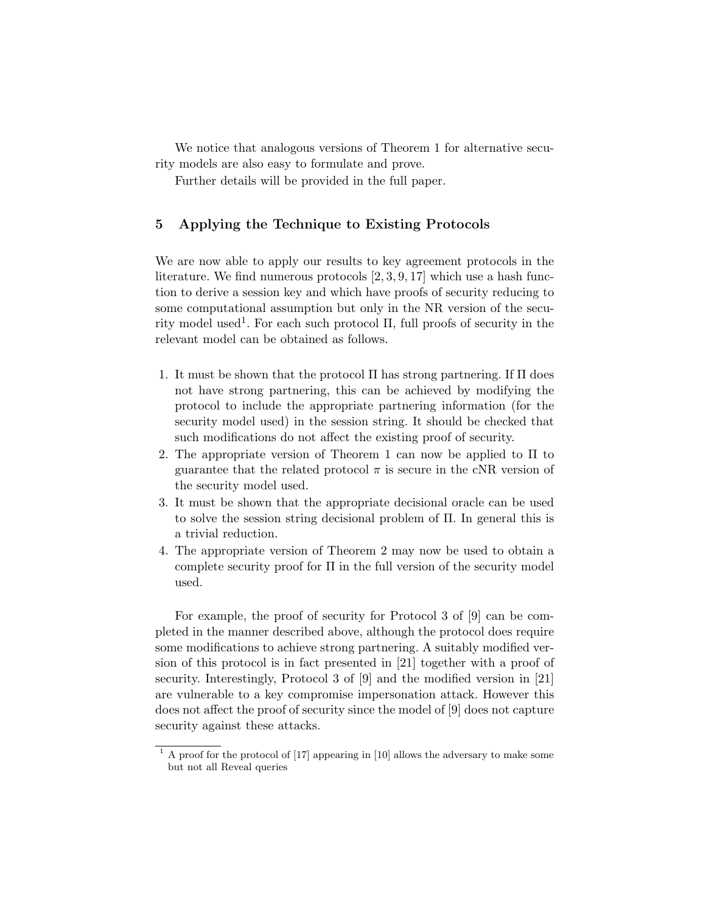We notice that analogous versions of Theorem 1 for alternative security models are also easy to formulate and prove.

Further details will be provided in the full paper.

# 5 Applying the Technique to Existing Protocols

We are now able to apply our results to key agreement protocols in the literature. We find numerous protocols  $[2, 3, 9, 17]$  which use a hash function to derive a session key and which have proofs of security reducing to some computational assumption but only in the NR version of the security model used<sup>1</sup>. For each such protocol  $\Pi$ , full proofs of security in the relevant model can be obtained as follows.

- 1. It must be shown that the protocol Π has strong partnering. If Π does not have strong partnering, this can be achieved by modifying the protocol to include the appropriate partnering information (for the security model used) in the session string. It should be checked that such modifications do not affect the existing proof of security.
- 2. The appropriate version of Theorem 1 can now be applied to Π to guarantee that the related protocol  $\pi$  is secure in the cNR version of the security model used.
- 3. It must be shown that the appropriate decisional oracle can be used to solve the session string decisional problem of Π. In general this is a trivial reduction.
- 4. The appropriate version of Theorem 2 may now be used to obtain a complete security proof for  $\Pi$  in the full version of the security model used.

For example, the proof of security for Protocol 3 of [9] can be completed in the manner described above, although the protocol does require some modifications to achieve strong partnering. A suitably modified version of this protocol is in fact presented in [21] together with a proof of security. Interestingly, Protocol 3 of [9] and the modified version in [21] are vulnerable to a key compromise impersonation attack. However this does not affect the proof of security since the model of [9] does not capture security against these attacks.

 $1 \text{ A proof for the protocol of } [17]$  appearing in [10] allows the adversary to make some but not all Reveal queries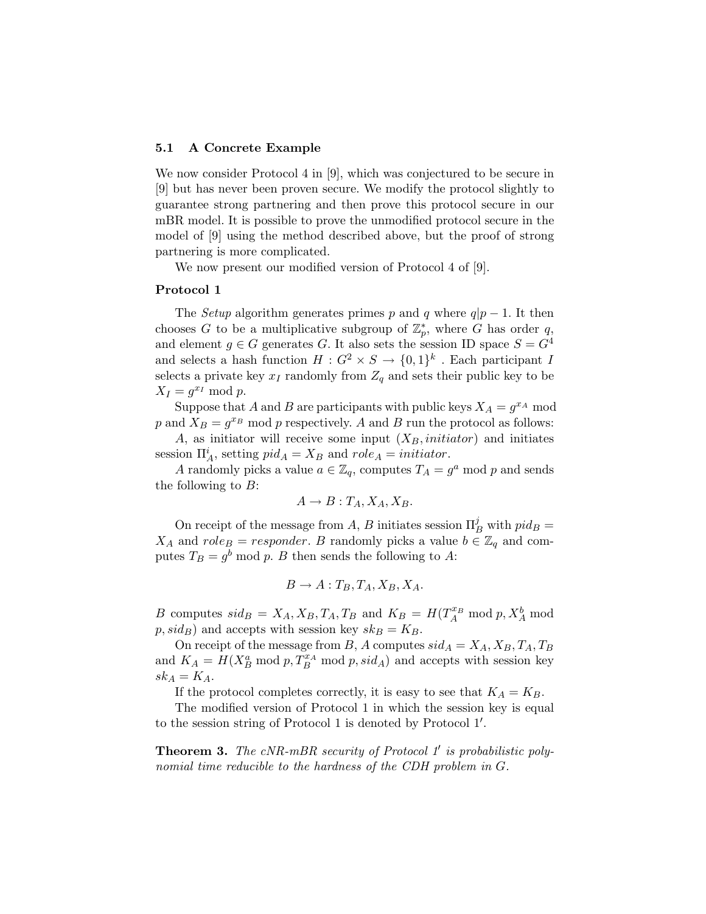#### 5.1 A Concrete Example

We now consider Protocol 4 in [9], which was conjectured to be secure in [9] but has never been proven secure. We modify the protocol slightly to guarantee strong partnering and then prove this protocol secure in our mBR model. It is possible to prove the unmodified protocol secure in the model of [9] using the method described above, but the proof of strong partnering is more complicated.

We now present our modified version of Protocol 4 of [9].

#### Protocol 1

The *Setup* algorithm generates primes p and q where  $q|p-1$ . It then chooses G to be a multiplicative subgroup of  $\mathbb{Z}_p^*$ , where G has order q, and element  $g \in G$  generates G. It also sets the session ID space  $S = G<sup>4</sup>$ and selects a hash function  $H: G^2 \times S \to \{0,1\}^k$ . Each participant I selects a private key  $x_I$  randomly from  $Z_q$  and sets their public key to be  $X_I = g^{x_I} \bmod p.$ 

Suppose that A and B are participants with public keys  $X_A = g^{x_A} \mod$ p and  $X_B = g^{x_B}$  mod p respectively. A and B run the protocol as follows:

A, as initiator will receive some input  $(X_B, initiator)$  and initiates session  $\Pi_A^i$ , setting  $pid_A = X_B$  and  $role_A = initiator$ .

A randomly picks a value  $a \in \mathbb{Z}_q$ , computes  $T_A = g^a$  mod p and sends the following to  $B$ :

$$
A \to B : T_A, X_A, X_B.
$$

On receipt of the message from A, B initiates session  $\Pi_B^j$  with  $pid_B =$  $X_A$  and  $role_B = responder.$  B randomly picks a value  $b \in \mathbb{Z}_q$  and computes  $T_B = g^b \mod p$ . B then sends the following to A:

$$
B \to A: T_B, T_A, X_B, X_A.
$$

B computes  $sid_B = X_A, X_B, T_A, T_B$  and  $K_B = H(T_A^{x_B} \text{ mod } p, X_A^b \text{ mod } p)$  $p, sid_B$ ) and accepts with session key  $sk_B = K_B$ .

On receipt of the message from B, A computes  $sid_A = X_A, X_B, T_A, T_B$ and  $K_A = H(X_B^a \text{ mod } p, T_B^{x_A} \text{ mod } p, sid_A)$  and accepts with session key  $sk_A = K_A$ .

If the protocol completes correctly, it is easy to see that  $K_A = K_B$ .

The modified version of Protocol 1 in which the session key is equal to the session string of Protocol 1 is denoted by Protocol 1'.

**Theorem 3.** The  $cNR\text{-}mBR$  security of Protocol 1' is probabilistic polynomial time reducible to the hardness of the CDH problem in G.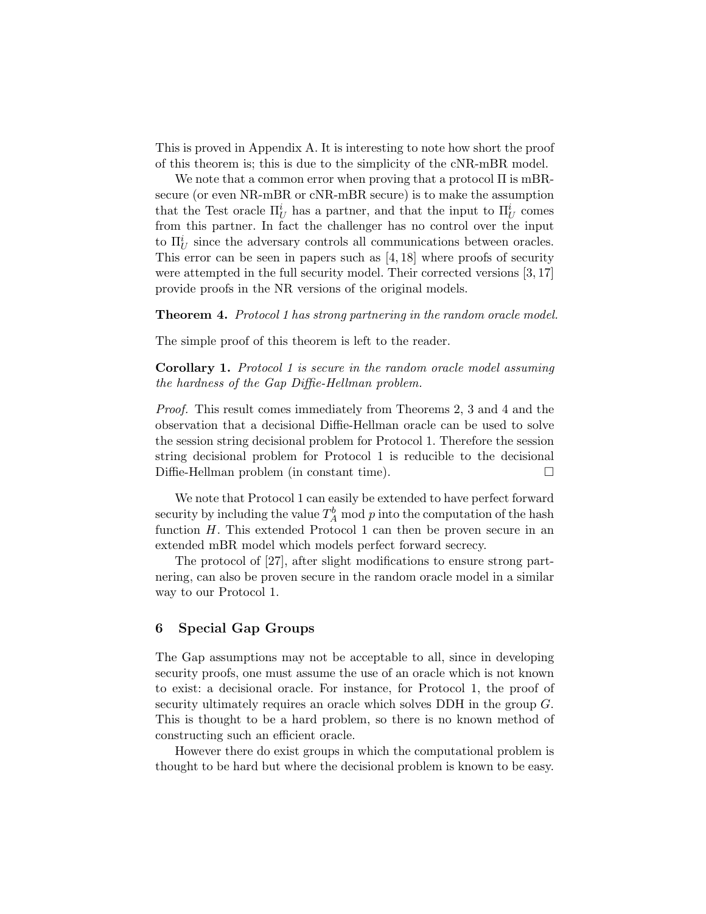This is proved in Appendix A. It is interesting to note how short the proof of this theorem is; this is due to the simplicity of the cNR-mBR model.

We note that a common error when proving that a protocol Π is mBRsecure (or even NR-mBR or cNR-mBR secure) is to make the assumption that the Test oracle  $\Pi_U^i$  has a partner, and that the input to  $\Pi_U^i$  comes from this partner. In fact the challenger has no control over the input to  $\Pi_U^i$  since the adversary controls all communications between oracles. This error can be seen in papers such as [4, 18] where proofs of security were attempted in the full security model. Their corrected versions [3, 17] provide proofs in the NR versions of the original models.

Theorem 4. Protocol 1 has strong partnering in the random oracle model.

The simple proof of this theorem is left to the reader.

Corollary 1. Protocol 1 is secure in the random oracle model assuming the hardness of the Gap Diffie-Hellman problem.

Proof. This result comes immediately from Theorems 2, 3 and 4 and the observation that a decisional Diffie-Hellman oracle can be used to solve the session string decisional problem for Protocol 1. Therefore the session string decisional problem for Protocol 1 is reducible to the decisional Diffie-Hellman problem (in constant time).

We note that Protocol 1 can easily be extended to have perfect forward security by including the value  $T_A^b \mod p$  into the computation of the hash function  $H$ . This extended Protocol 1 can then be proven secure in an extended mBR model which models perfect forward secrecy.

The protocol of [27], after slight modifications to ensure strong partnering, can also be proven secure in the random oracle model in a similar way to our Protocol 1.

# 6 Special Gap Groups

The Gap assumptions may not be acceptable to all, since in developing security proofs, one must assume the use of an oracle which is not known to exist: a decisional oracle. For instance, for Protocol 1, the proof of security ultimately requires an oracle which solves DDH in the group  $G$ . This is thought to be a hard problem, so there is no known method of constructing such an efficient oracle.

However there do exist groups in which the computational problem is thought to be hard but where the decisional problem is known to be easy.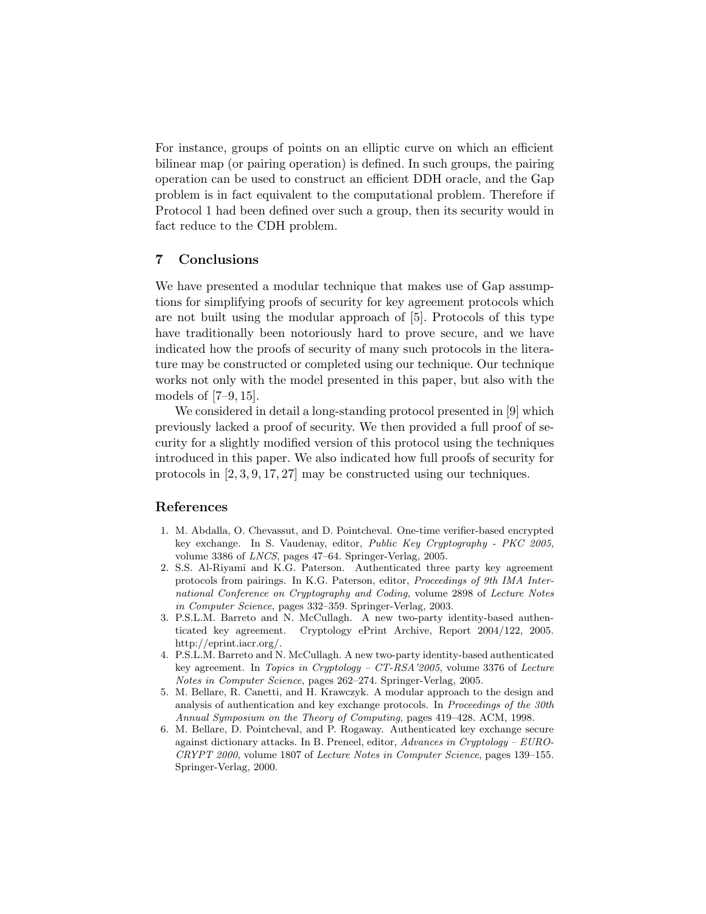For instance, groups of points on an elliptic curve on which an efficient bilinear map (or pairing operation) is defined. In such groups, the pairing operation can be used to construct an efficient DDH oracle, and the Gap problem is in fact equivalent to the computational problem. Therefore if Protocol 1 had been defined over such a group, then its security would in fact reduce to the CDH problem.

# 7 Conclusions

We have presented a modular technique that makes use of Gap assumptions for simplifying proofs of security for key agreement protocols which are not built using the modular approach of [5]. Protocols of this type have traditionally been notoriously hard to prove secure, and we have indicated how the proofs of security of many such protocols in the literature may be constructed or completed using our technique. Our technique works not only with the model presented in this paper, but also with the models of [7–9, 15].

We considered in detail a long-standing protocol presented in [9] which previously lacked a proof of security. We then provided a full proof of security for a slightly modified version of this protocol using the techniques introduced in this paper. We also indicated how full proofs of security for protocols in [2, 3, 9, 17, 27] may be constructed using our techniques.

# References

- 1. M. Abdalla, O. Chevassut, and D. Pointcheval. One-time verifier-based encrypted key exchange. In S. Vaudenay, editor, Public Key Cryptography - PKC 2005, volume 3386 of LNCS, pages 47–64. Springer-Verlag, 2005.
- 2. S.S. Al-Riyami and K.G. Paterson. Authenticated three party key agreement protocols from pairings. In K.G. Paterson, editor, Proceedings of 9th IMA International Conference on Cryptography and Coding, volume 2898 of Lecture Notes in Computer Science, pages 332–359. Springer-Verlag, 2003.
- 3. P.S.L.M. Barreto and N. McCullagh. A new two-party identity-based authenticated key agreement. Cryptology ePrint Archive, Report 2004/122, 2005. http://eprint.iacr.org/.
- 4. P.S.L.M. Barreto and N. McCullagh. A new two-party identity-based authenticated key agreement. In Topics in Cryptology – CT-RSA'2005, volume 3376 of Lecture Notes in Computer Science, pages 262–274. Springer-Verlag, 2005.
- 5. M. Bellare, R. Canetti, and H. Krawczyk. A modular approach to the design and analysis of authentication and key exchange protocols. In Proceedings of the 30th Annual Symposium on the Theory of Computing, pages 419–428. ACM, 1998.
- 6. M. Bellare, D. Pointcheval, and P. Rogaway. Authenticated key exchange secure against dictionary attacks. In B. Preneel, editor, Advances in Cryptology – EURO-CRYPT 2000, volume 1807 of Lecture Notes in Computer Science, pages 139–155. Springer-Verlag, 2000.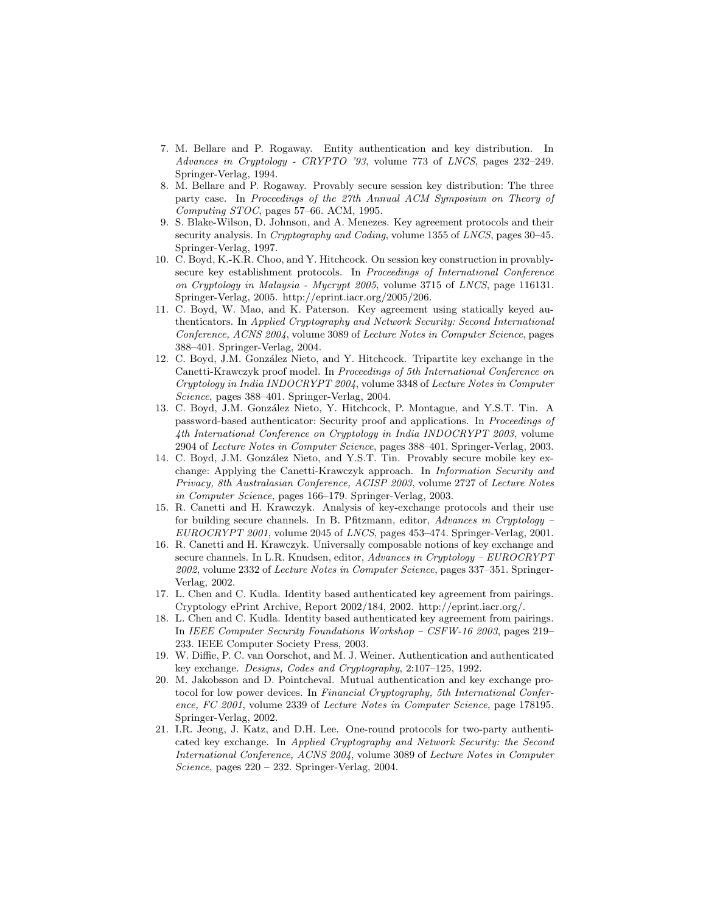- 7. M. Bellare and P. Rogaway. Entity authentication and key distribution. In Advances in Cryptology - CRYPTO '93, volume 773 of LNCS, pages 232–249. Springer-Verlag, 1994.
- 8. M. Bellare and P. Rogaway. Provably secure session key distribution: The three party case. In Proceedings of the 27th Annual ACM Symposium on Theory of Computing STOC, pages 57–66. ACM, 1995.
- 9. S. Blake-Wilson, D. Johnson, and A. Menezes. Key agreement protocols and their security analysis. In *Cryptography and Coding*, volume 1355 of *LNCS*, pages 30-45. Springer-Verlag, 1997.
- 10. C. Boyd, K.-K.R. Choo, and Y. Hitchcock. On session key construction in provablysecure key establishment protocols. In Proceedings of International Conference on Cryptology in Malaysia - Mycrypt 2005, volume 3715 of LNCS, page 116131. Springer-Verlag, 2005. http://eprint.iacr.org/2005/206.
- 11. C. Boyd, W. Mao, and K. Paterson. Key agreement using statically keyed authenticators. In Applied Cryptography and Network Security: Second International Conference, ACNS 2004, volume 3089 of Lecture Notes in Computer Science, pages 388–401. Springer-Verlag, 2004.
- 12. C. Boyd, J.M. González Nieto, and Y. Hitchcock. Tripartite key exchange in the Canetti-Krawczyk proof model. In Proceedings of 5th International Conference on Cryptology in India INDOCRYPT 2004, volume 3348 of Lecture Notes in Computer Science, pages 388–401. Springer-Verlag, 2004.
- 13. C. Boyd, J.M. González Nieto, Y. Hitchcock, P. Montague, and Y.S.T. Tin. A password-based authenticator: Security proof and applications. In Proceedings of 4th International Conference on Cryptology in India INDOCRYPT 2003, volume 2904 of Lecture Notes in Computer Science, pages 388–401. Springer-Verlag, 2003.
- 14. C. Boyd, J.M. González Nieto, and Y.S.T. Tin. Provably secure mobile key exchange: Applying the Canetti-Krawczyk approach. In Information Security and Privacy, 8th Australasian Conference, ACISP 2003, volume 2727 of Lecture Notes in Computer Science, pages 166–179. Springer-Verlag, 2003.
- 15. R. Canetti and H. Krawczyk. Analysis of key-exchange protocols and their use for building secure channels. In B. Pfitzmann, editor, Advances in Cryptology – EUROCRYPT 2001, volume 2045 of LNCS, pages 453–474. Springer-Verlag, 2001.
- 16. R. Canetti and H. Krawczyk. Universally composable notions of key exchange and secure channels. In L.R. Knudsen, editor, Advances in Cryptology – EUROCRYPT 2002, volume 2332 of Lecture Notes in Computer Science, pages 337–351. Springer-Verlag, 2002.
- 17. L. Chen and C. Kudla. Identity based authenticated key agreement from pairings. Cryptology ePrint Archive, Report 2002/184, 2002. http://eprint.iacr.org/.
- 18. L. Chen and C. Kudla. Identity based authenticated key agreement from pairings. In IEEE Computer Security Foundations Workshop – CSFW-16 2003, pages 219– 233. IEEE Computer Society Press, 2003.
- 19. W. Diffie, P. C. van Oorschot, and M. J. Weiner. Authentication and authenticated key exchange. Designs, Codes and Cryptography, 2:107–125, 1992.
- 20. M. Jakobsson and D. Pointcheval. Mutual authentication and key exchange protocol for low power devices. In Financial Cryptography, 5th International Conference, FC 2001, volume 2339 of Lecture Notes in Computer Science, page 178195. Springer-Verlag, 2002.
- 21. I.R. Jeong, J. Katz, and D.H. Lee. One-round protocols for two-party authenticated key exchange. In Applied Cryptography and Network Security: the Second International Conference, ACNS 2004, volume 3089 of Lecture Notes in Computer Science, pages  $220 - 232$ . Springer-Verlag, 2004.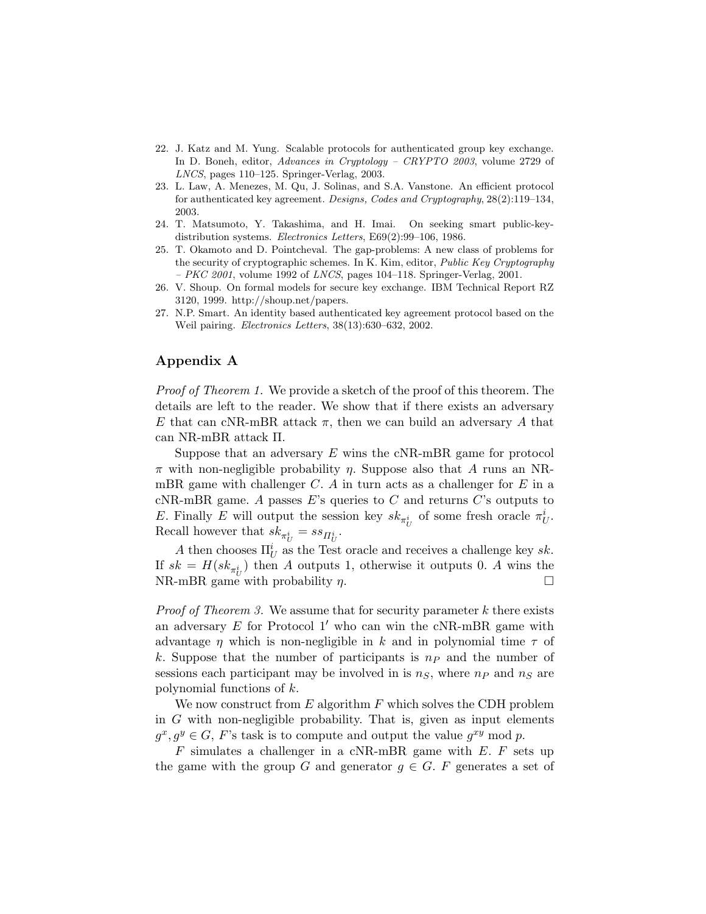- 22. J. Katz and M. Yung. Scalable protocols for authenticated group key exchange. In D. Boneh, editor, Advances in Cryptology – CRYPTO 2003, volume 2729 of LNCS, pages 110–125. Springer-Verlag, 2003.
- 23. L. Law, A. Menezes, M. Qu, J. Solinas, and S.A. Vanstone. An efficient protocol for authenticated key agreement. Designs, Codes and Cryptography, 28(2):119–134, 2003.
- 24. T. Matsumoto, Y. Takashima, and H. Imai. On seeking smart public-keydistribution systems. Electronics Letters, E69(2):99–106, 1986.
- 25. T. Okamoto and D. Pointcheval. The gap-problems: A new class of problems for the security of cryptographic schemes. In K. Kim, editor, Public Key Cryptography  $-$  PKC 2001, volume 1992 of LNCS, pages 104-118. Springer-Verlag, 2001.
- 26. V. Shoup. On formal models for secure key exchange. IBM Technical Report RZ 3120, 1999. http://shoup.net/papers.
- 27. N.P. Smart. An identity based authenticated key agreement protocol based on the Weil pairing. Electronics Letters, 38(13):630–632, 2002.

# Appendix A

Proof of Theorem 1. We provide a sketch of the proof of this theorem. The details are left to the reader. We show that if there exists an adversary E that can cNR-mBR attack  $\pi$ , then we can build an adversary A that can NR-mBR attack Π.

Suppose that an adversary  $E$  wins the cNR-mBR game for protocol  $\pi$  with non-negligible probability  $\eta$ . Suppose also that A runs an NRmBR game with challenger  $C$ . A in turn acts as a challenger for  $E$  in a cNR-mBR game. A passes E's queries to  $C$  and returns  $C$ 's outputs to E. Finally E will output the session key  $sk_{\pi_U^i}$  of some fresh oracle  $\pi_U^i$ . Recall however that  $sk_{\pi_U^i} = ss_{\Pi_U^i}$ .

A then chooses  $\Pi_U^i$  as the Test oracle and receives a challenge key sk. If  $sk = H(sk_{\pi_U^i})$  then A outputs 1, otherwise it outputs 0. A wins the NR-mBR game with probability  $\eta$ .

*Proof of Theorem 3.* We assume that for security parameter k there exists an adversary  $E$  for Protocol 1' who can win the cNR-mBR game with advantage  $\eta$  which is non-negligible in k and in polynomial time  $\tau$  of k. Suppose that the number of participants is  $n<sub>P</sub>$  and the number of sessions each participant may be involved in is  $n<sub>S</sub>$ , where  $n<sub>P</sub>$  and  $n<sub>S</sub>$  are polynomial functions of k.

We now construct from  $E$  algorithm  $F$  which solves the CDH problem in G with non-negligible probability. That is, given as input elements  $g^x, g^y \in G$ , F's task is to compute and output the value  $g^{xy}$  mod p.

 $F$  simulates a challenger in a cNR-mBR game with  $E$ .  $F$  sets up the game with the group G and generator  $g \in G$ . F generates a set of